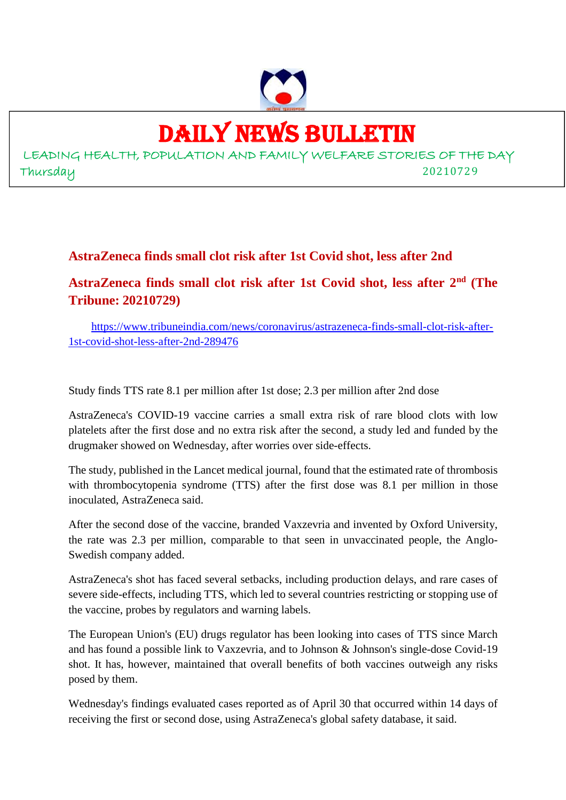

## DAILY NEWS BULLETIN

LEADING HEALTH, POPULATION AND FAMILY WELFARE STORIES OF THE DAY Thursday 20210729

## **AstraZeneca finds small clot risk after 1st Covid shot, less after 2nd**

**AstraZeneca finds small clot risk after 1st Covid shot, less after 2nd (The Tribune: 20210729)**

https://www.tribuneindia.com/news/coronavirus/astrazeneca-finds-small-clot-risk-after-1st-covid-shot-less-after-2nd-289476

Study finds TTS rate 8.1 per million after 1st dose; 2.3 per million after 2nd dose

AstraZeneca's COVID-19 vaccine carries a small extra risk of rare blood clots with low platelets after the first dose and no extra risk after the second, a study led and funded by the drugmaker showed on Wednesday, after worries over side-effects.

The study, published in the Lancet medical journal, found that the estimated rate of thrombosis with thrombocytopenia syndrome (TTS) after the first dose was 8.1 per million in those inoculated, AstraZeneca said.

After the second dose of the vaccine, branded Vaxzevria and invented by Oxford University, the rate was 2.3 per million, comparable to that seen in unvaccinated people, the Anglo-Swedish company added.

AstraZeneca's shot has faced several setbacks, including production delays, and rare cases of severe side-effects, including TTS, which led to several countries restricting or stopping use of the vaccine, probes by regulators and warning labels.

The European Union's (EU) drugs regulator has been looking into cases of TTS since March and has found a possible link to Vaxzevria, and to Johnson & Johnson's single-dose Covid-19 shot. It has, however, maintained that overall benefits of both vaccines outweigh any risks posed by them.

Wednesday's findings evaluated cases reported as of April 30 that occurred within 14 days of receiving the first or second dose, using AstraZeneca's global safety database, it said.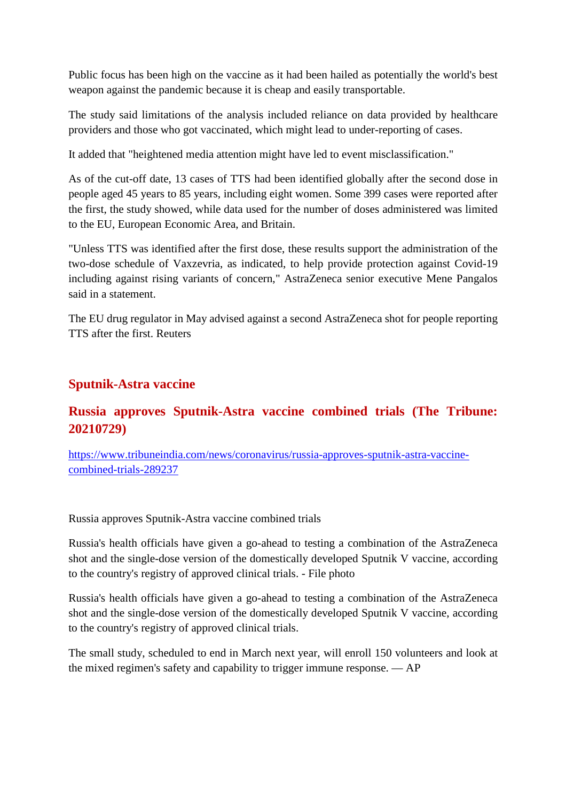Public focus has been high on the vaccine as it had been hailed as potentially the world's best weapon against the pandemic because it is cheap and easily transportable.

The study said limitations of the analysis included reliance on data provided by healthcare providers and those who got vaccinated, which might lead to under-reporting of cases.

It added that "heightened media attention might have led to event misclassification."

As of the cut-off date, 13 cases of TTS had been identified globally after the second dose in people aged 45 years to 85 years, including eight women. Some 399 cases were reported after the first, the study showed, while data used for the number of doses administered was limited to the EU, European Economic Area, and Britain.

"Unless TTS was identified after the first dose, these results support the administration of the two-dose schedule of Vaxzevria, as indicated, to help provide protection against Covid-19 including against rising variants of concern," AstraZeneca senior executive Mene Pangalos said in a statement.

The EU drug regulator in May advised against a second AstraZeneca shot for people reporting TTS after the first. Reuters

### **Sputnik-Astra vaccine**

## **Russia approves Sputnik-Astra vaccine combined trials (The Tribune: 20210729)**

https://www.tribuneindia.com/news/coronavirus/russia-approves-sputnik-astra-vaccinecombined-trials-289237

Russia approves Sputnik-Astra vaccine combined trials

Russia's health officials have given a go-ahead to testing a combination of the AstraZeneca shot and the single-dose version of the domestically developed Sputnik V vaccine, according to the country's registry of approved clinical trials. - File photo

Russia's health officials have given a go-ahead to testing a combination of the AstraZeneca shot and the single-dose version of the domestically developed Sputnik V vaccine, according to the country's registry of approved clinical trials.

The small study, scheduled to end in March next year, will enroll 150 volunteers and look at the mixed regimen's safety and capability to trigger immune response. — AP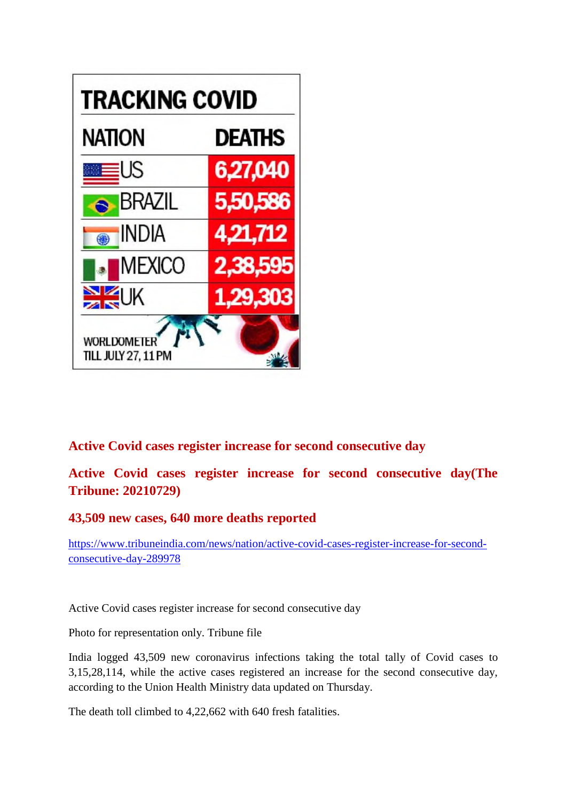

#### **Active Covid cases register increase for second consecutive day**

**Active Covid cases register increase for second consecutive day(The Tribune: 20210729)**

#### **43,509 new cases, 640 more deaths reported**

https://www.tribuneindia.com/news/nation/active-covid-cases-register-increase-for-secondconsecutive-day-289978

Active Covid cases register increase for second consecutive day

Photo for representation only. Tribune file

India logged 43,509 new coronavirus infections taking the total tally of Covid cases to 3,15,28,114, while the active cases registered an increase for the second consecutive day, according to the Union Health Ministry data updated on Thursday.

The death toll climbed to 4,22,662 with 640 fresh fatalities.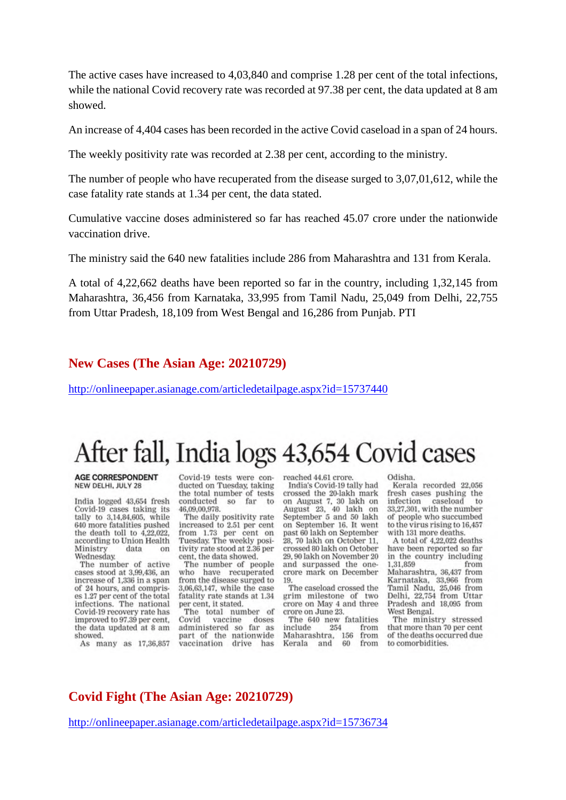The active cases have increased to 4,03,840 and comprise 1.28 per cent of the total infections, while the national Covid recovery rate was recorded at 97.38 per cent, the data updated at 8 am showed.

An increase of 4,404 cases has been recorded in the active Covid caseload in a span of 24 hours.

The weekly positivity rate was recorded at 2.38 per cent, according to the ministry.

The number of people who have recuperated from the disease surged to 3,07,01,612, while the case fatality rate stands at 1.34 per cent, the data stated.

Cumulative vaccine doses administered so far has reached 45.07 crore under the nationwide vaccination drive.

The ministry said the 640 new fatalities include 286 from Maharashtra and 131 from Kerala.

A total of 4,22,662 deaths have been reported so far in the country, including 1,32,145 from Maharashtra, 36,456 from Karnataka, 33,995 from Tamil Nadu, 25,049 from Delhi, 22,755 from Uttar Pradesh, 18,109 from West Bengal and 16,286 from Punjab. PTI

#### **New Cases (The Asian Age: 20210729)**

http://onlineepaper.asianage.com/articledetailpage.aspx?id=15737440

## After fall, India logs 43,654 Covid cases

#### **AGE CORRESPONDENT** NEW DELHI, JULY 28

India logged 43,654 fresh Covid-19 cases taking its tally to 3,14,84,605, while 640 more fatalities pushed the death toll to 4,22,022. according to Union Health Ministry data on Wednesday.

The number of active<br>cases stood at 3,99,436, an increase of 1,336 in a span of 24 hours, and comprises 1.27 per cent of the total infections. The national Covid-19 recovery rate has improved to 97.39 per cent, the data updated at 8 am showed.

As many as 17,36,857

Covid-19 tests were conducted on Tuesday, taking the total number of tests conducted so far to 46,09,00,978.

The daily positivity rate increased to 2.51 per cent from 1.73 per cent on Tuesday. The weekly positivity rate stood at 2.36 per cent, the data showed.

The number of people who have recuperated from the disease surged to 3,06,63,147, while the case fatality rate stands at 1.34 per cent, it stated.

The total number of Covid doses vaccine administered so far as part of the nationwide vaccination drive has reached 44.61 crore.

India's Covid-19 tally had crossed the 20-lakh mark on August 7, 30 lakh on August 23, 40 lakh on September 5 and 50 lakh on September 16. It went past 60 lakh on September 28, 70 lakh on October 11, crossed 80 lakh on October 29, 90 lakh on November 20 and surpassed the onecrore mark on December 19.

The caseload crossed the grim milestone of two crore on May 4 and three crore on June 23.

The 640 new fatalities include 254 from Maharashtra, 156 from Kerala and 60 from

Odisha

Kerala recorded 22,056 fresh cases pushing the infection caseload to 33,27,301, with the number of people who succumbed to the virus rising to 16,457 with 131 more deaths.

A total of 4,22,022 deaths have been reported so far in the country including 1.31.859 from Maharashtra, 36,437 from Karnataka, 33,966 from Tamil Nadu, 25,046 from<br>Delhi, 22,754 from Uttar Pradesh and 18,095 from West Rengal

The ministry stressed that more than 70 per cent of the deaths occurred due to comorbidities.

#### **Covid Fight (The Asian Age: 20210729)**

http://onlineepaper.asianage.com/articledetailpage.aspx?id=15736734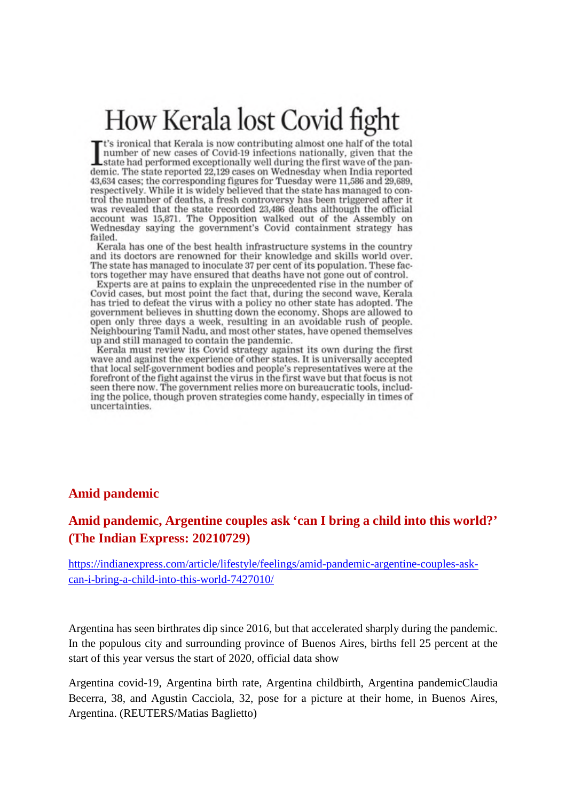# How Kerala lost Covid fight

"t's ironical that Kerala is now contributing almost one half of the total number of new cases of Covid-19 infections nationally, given that the state had performed exceptionally well during the first wave of the pandemic. The state reported 22,129 cases on Wednesday when India reported 43,634 cases; the corresponding figures for Tuesday were 11,586 and 29,689, respectively. While it is widely believed that the state has managed to control the number of deaths, a fresh controversy has been triggered after it was revealed that the state recorded 23,486 deaths although the official account was 15,871. The Opposition walked out of the Assembly on Wednesday saying the government's Covid containment strategy has failed.

Kerala has one of the best health infrastructure systems in the country and its doctors are renowned for their knowledge and skills world over. The state has managed to inoculate 37 per cent of its population. These factors together may have ensured that deaths have not gone out of control.

Experts are at pains to explain the unprecedented rise in the number of Covid cases, but most point the fact that, during the second wave, Kerala has tried to defeat the virus with a policy no other state has adopted. The government believes in shutting down the economy. Shops are allowed to open only three days a week, resulting in an avoidable rush of people. Neighbouring Tamil Nadu, and most other states, have opened themselves up and still managed to contain the pandemic.

Kerala must review its Covid strategy against its own during the first wave and against the experience of other states. It is universally accepted that local self-government bodies and people's representatives were at the forefront of the fight against the virus in the first wave but that focus is not seen there now. The government relies more on bureaucratic tools, including the police, though proven strategies come handy, especially in times of uncertainties.

#### **Amid pandemic**

#### **Amid pandemic, Argentine couples ask 'can I bring a child into this world?' (The Indian Express: 20210729)**

https://indianexpress.com/article/lifestyle/feelings/amid-pandemic-argentine-couples-askcan-i-bring-a-child-into-this-world-7427010/

Argentina has seen birthrates dip since 2016, but that accelerated sharply during the pandemic. In the populous city and surrounding province of Buenos Aires, births fell 25 percent at the start of this year versus the start of 2020, official data show

Argentina covid-19, Argentina birth rate, Argentina childbirth, Argentina pandemicClaudia Becerra, 38, and Agustin Cacciola, 32, pose for a picture at their home, in Buenos Aires, Argentina. (REUTERS/Matias Baglietto)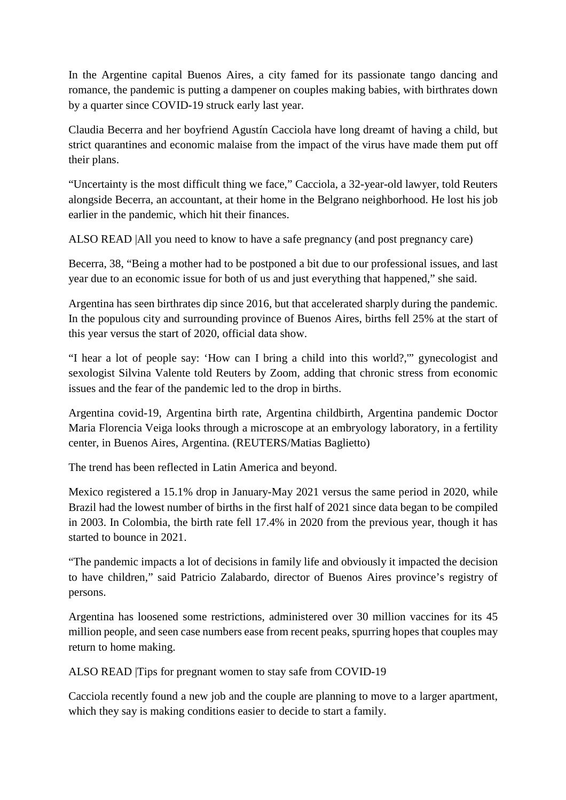In the Argentine capital Buenos Aires, a city famed for its passionate tango dancing and romance, the pandemic is putting a dampener on couples making babies, with birthrates down by a quarter since COVID-19 struck early last year.

Claudia Becerra and her boyfriend Agustín Cacciola have long dreamt of having a child, but strict quarantines and economic malaise from the impact of the virus have made them put off their plans.

"Uncertainty is the most difficult thing we face," Cacciola, a 32-year-old lawyer, told Reuters alongside Becerra, an accountant, at their home in the Belgrano neighborhood. He lost his job earlier in the pandemic, which hit their finances.

ALSO READ |All you need to know to have a safe pregnancy (and post pregnancy care)

Becerra, 38, "Being a mother had to be postponed a bit due to our professional issues, and last year due to an economic issue for both of us and just everything that happened," she said.

Argentina has seen birthrates dip since 2016, but that accelerated sharply during the pandemic. In the populous city and surrounding province of Buenos Aires, births fell 25% at the start of this year versus the start of 2020, official data show.

"I hear a lot of people say: 'How can I bring a child into this world?,'" gynecologist and sexologist Silvina Valente told Reuters by Zoom, adding that chronic stress from economic issues and the fear of the pandemic led to the drop in births.

Argentina covid-19, Argentina birth rate, Argentina childbirth, Argentina pandemic Doctor Maria Florencia Veiga looks through a microscope at an embryology laboratory, in a fertility center, in Buenos Aires, Argentina. (REUTERS/Matias Baglietto)

The trend has been reflected in Latin America and beyond.

Mexico registered a 15.1% drop in January-May 2021 versus the same period in 2020, while Brazil had the lowest number of births in the first half of 2021 since data began to be compiled in 2003. In Colombia, the birth rate fell 17.4% in 2020 from the previous year, though it has started to bounce in 2021.

"The pandemic impacts a lot of decisions in family life and obviously it impacted the decision to have children," said Patricio Zalabardo, director of Buenos Aires province's registry of persons.

Argentina has loosened some restrictions, administered over 30 million vaccines for its 45 million people, and seen case numbers ease from recent peaks, spurring hopes that couples may return to home making.

ALSO READ |Tips for pregnant women to stay safe from COVID-19

Cacciola recently found a new job and the couple are planning to move to a larger apartment, which they say is making conditions easier to decide to start a family.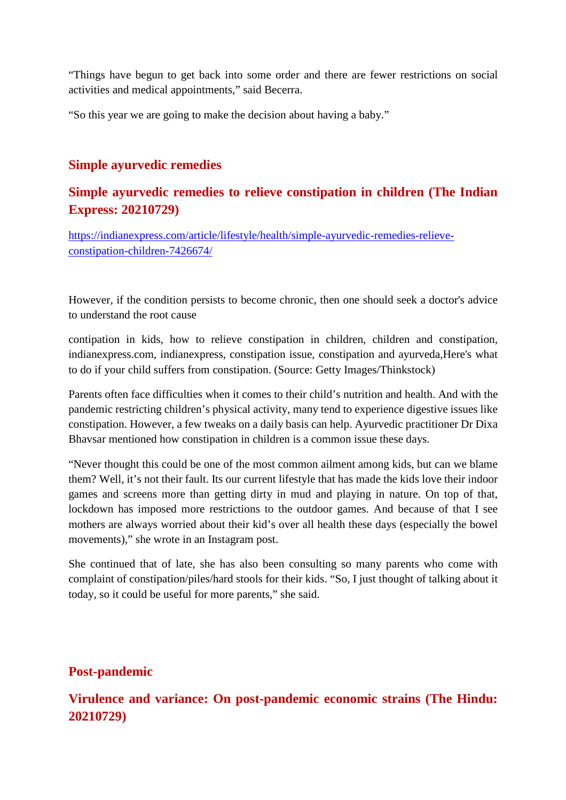"Things have begun to get back into some order and there are fewer restrictions on social activities and medical appointments," said Becerra.

"So this year we are going to make the decision about having a baby."

#### **Simple ayurvedic remedies**

## **Simple ayurvedic remedies to relieve constipation in children (The Indian Express: 20210729)**

https://indianexpress.com/article/lifestyle/health/simple-ayurvedic-remedies-relieveconstipation-children-7426674/

However, if the condition persists to become chronic, then one should seek a doctor's advice to understand the root cause

contipation in kids, how to relieve constipation in children, children and constipation, indianexpress.com, indianexpress, constipation issue, constipation and ayurveda,Here's what to do if your child suffers from constipation. (Source: Getty Images/Thinkstock)

Parents often face difficulties when it comes to their child's nutrition and health. And with the pandemic restricting children's physical activity, many tend to experience digestive issues like constipation. However, a few tweaks on a daily basis can help. Ayurvedic practitioner Dr Dixa Bhavsar mentioned how constipation in children is a common issue these days.

"Never thought this could be one of the most common ailment among kids, but can we blame them? Well, it's not their fault. Its our current lifestyle that has made the kids love their indoor games and screens more than getting dirty in mud and playing in nature. On top of that, lockdown has imposed more restrictions to the outdoor games. And because of that I see mothers are always worried about their kid's over all health these days (especially the bowel movements)," she wrote in an Instagram post.

She continued that of late, she has also been consulting so many parents who come with complaint of constipation/piles/hard stools for their kids. "So, I just thought of talking about it today, so it could be useful for more parents," she said.

#### **Post-pandemic**

## **Virulence and variance: On post-pandemic economic strains (The Hindu: 20210729)**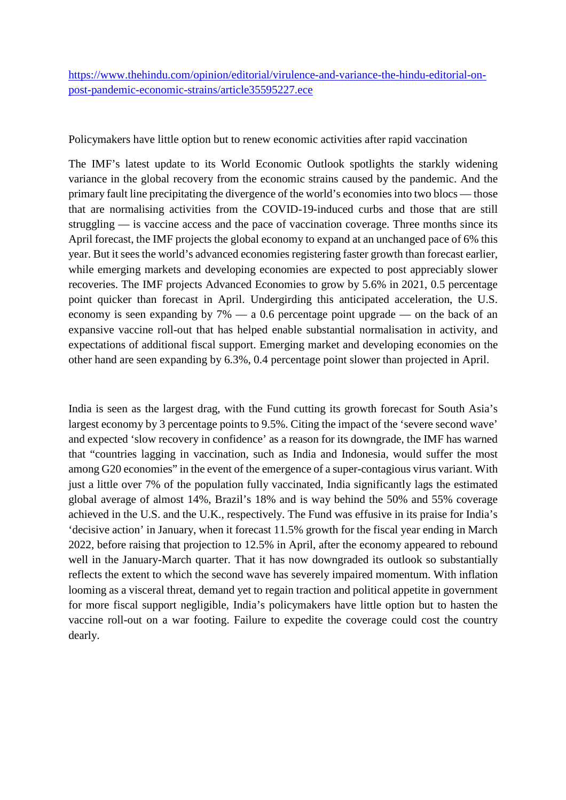https://www.thehindu.com/opinion/editorial/virulence-and-variance-the-hindu-editorial-onpost-pandemic-economic-strains/article35595227.ece

Policymakers have little option but to renew economic activities after rapid vaccination

The IMF's latest update to its World Economic Outlook spotlights the starkly widening variance in the global recovery from the economic strains caused by the pandemic. And the primary fault line precipitating the divergence of the world's economies into two blocs — those that are normalising activities from the COVID-19-induced curbs and those that are still struggling — is vaccine access and the pace of vaccination coverage. Three months since its April forecast, the IMF projects the global economy to expand at an unchanged pace of 6% this year. But it sees the world's advanced economies registering faster growth than forecast earlier, while emerging markets and developing economies are expected to post appreciably slower recoveries. The IMF projects Advanced Economies to grow by 5.6% in 2021, 0.5 percentage point quicker than forecast in April. Undergirding this anticipated acceleration, the U.S. economy is seen expanding by 7% — a 0.6 percentage point upgrade — on the back of an expansive vaccine roll-out that has helped enable substantial normalisation in activity, and expectations of additional fiscal support. Emerging market and developing economies on the other hand are seen expanding by 6.3%, 0.4 percentage point slower than projected in April.

India is seen as the largest drag, with the Fund cutting its growth forecast for South Asia's largest economy by 3 percentage points to 9.5%. Citing the impact of the 'severe second wave' and expected 'slow recovery in confidence' as a reason for its downgrade, the IMF has warned that "countries lagging in vaccination, such as India and Indonesia, would suffer the most among G20 economies" in the event of the emergence of a super-contagious virus variant. With just a little over 7% of the population fully vaccinated, India significantly lags the estimated global average of almost 14%, Brazil's 18% and is way behind the 50% and 55% coverage achieved in the U.S. and the U.K., respectively. The Fund was effusive in its praise for India's 'decisive action' in January, when it forecast 11.5% growth for the fiscal year ending in March 2022, before raising that projection to 12.5% in April, after the economy appeared to rebound well in the January-March quarter. That it has now downgraded its outlook so substantially reflects the extent to which the second wave has severely impaired momentum. With inflation looming as a visceral threat, demand yet to regain traction and political appetite in government for more fiscal support negligible, India's policymakers have little option but to hasten the vaccine roll-out on a war footing. Failure to expedite the coverage could cost the country dearly.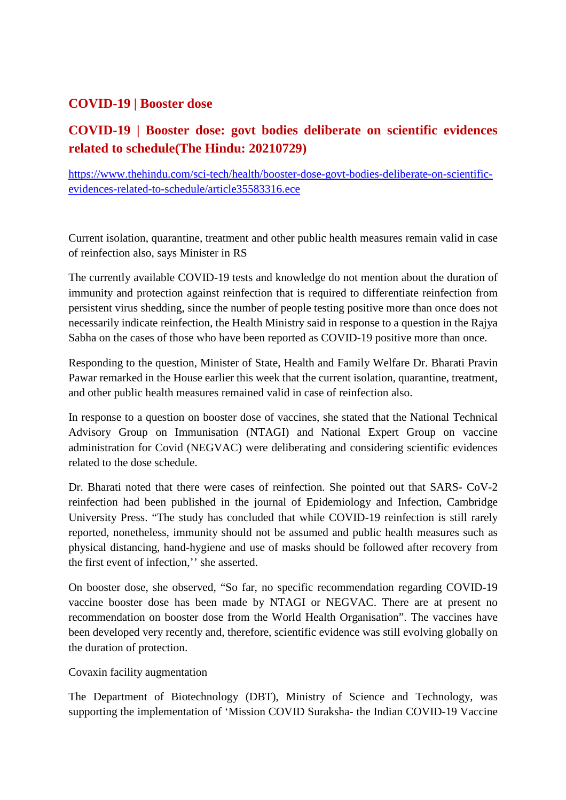### **COVID-19 | Booster dose**

## **COVID-19 | Booster dose: govt bodies deliberate on scientific evidences related to schedule(The Hindu: 20210729)**

https://www.thehindu.com/sci-tech/health/booster-dose-govt-bodies-deliberate-on-scientificevidences-related-to-schedule/article35583316.ece

Current isolation, quarantine, treatment and other public health measures remain valid in case of reinfection also, says Minister in RS

The currently available COVID-19 tests and knowledge do not mention about the duration of immunity and protection against reinfection that is required to differentiate reinfection from persistent virus shedding, since the number of people testing positive more than once does not necessarily indicate reinfection, the Health Ministry said in response to a question in the Rajya Sabha on the cases of those who have been reported as COVID-19 positive more than once.

Responding to the question, Minister of State, Health and Family Welfare Dr. Bharati Pravin Pawar remarked in the House earlier this week that the current isolation, quarantine, treatment, and other public health measures remained valid in case of reinfection also.

In response to a question on booster dose of vaccines, she stated that the National Technical Advisory Group on Immunisation (NTAGI) and National Expert Group on vaccine administration for Covid (NEGVAC) were deliberating and considering scientific evidences related to the dose schedule.

Dr. Bharati noted that there were cases of reinfection. She pointed out that SARS- CoV-2 reinfection had been published in the journal of Epidemiology and Infection, Cambridge University Press. "The study has concluded that while COVID-19 reinfection is still rarely reported, nonetheless, immunity should not be assumed and public health measures such as physical distancing, hand-hygiene and use of masks should be followed after recovery from the first event of infection,'' she asserted.

On booster dose, she observed, "So far, no specific recommendation regarding COVID-19 vaccine booster dose has been made by NTAGI or NEGVAC. There are at present no recommendation on booster dose from the World Health Organisation". The vaccines have been developed very recently and, therefore, scientific evidence was still evolving globally on the duration of protection.

Covaxin facility augmentation

The Department of Biotechnology (DBT), Ministry of Science and Technology, was supporting the implementation of 'Mission COVID Suraksha- the Indian COVID-19 Vaccine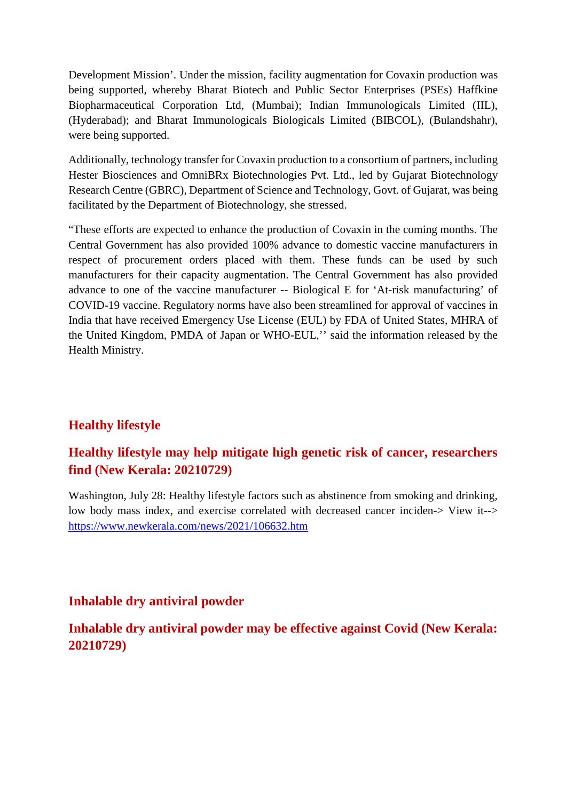Development Mission'. Under the mission, facility augmentation for Covaxin production was being supported, whereby Bharat Biotech and Public Sector Enterprises (PSEs) Haffkine Biopharmaceutical Corporation Ltd, (Mumbai); Indian Immunologicals Limited (IIL), (Hyderabad); and Bharat Immunologicals Biologicals Limited (BIBCOL), (Bulandshahr), were being supported.

Additionally, technology transfer for Covaxin production to a consortium of partners, including Hester Biosciences and OmniBRx Biotechnologies Pvt. Ltd., led by Gujarat Biotechnology Research Centre (GBRC), Department of Science and Technology, Govt. of Gujarat, was being facilitated by the Department of Biotechnology, she stressed.

"These efforts are expected to enhance the production of Covaxin in the coming months. The Central Government has also provided 100% advance to domestic vaccine manufacturers in respect of procurement orders placed with them. These funds can be used by such manufacturers for their capacity augmentation. The Central Government has also provided advance to one of the vaccine manufacturer -- Biological E for 'At-risk manufacturing' of COVID-19 vaccine. Regulatory norms have also been streamlined for approval of vaccines in India that have received Emergency Use License (EUL) by FDA of United States, MHRA of the United Kingdom, PMDA of Japan or WHO-EUL,'' said the information released by the Health Ministry.

## **Healthy lifestyle**

## **Healthy lifestyle may help mitigate high genetic risk of cancer, researchers find (New Kerala: 20210729)**

Washington, July 28: Healthy lifestyle factors such as abstinence from smoking and drinking. low body mass index, and exercise correlated with decreased cancer inciden-> View it--> https://www.newkerala.com/news/2021/106632.htm

#### **Inhalable dry antiviral powder**

**Inhalable dry antiviral powder may be effective against Covid (New Kerala: 20210729)**